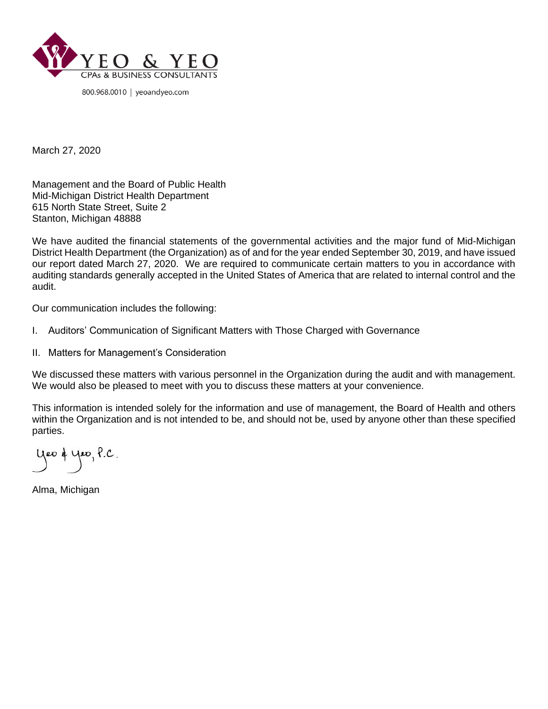

March 27, 2020

Management and the Board of Public Health Mid-Michigan District Health Department 615 North State Street, Suite 2 Stanton, Michigan 48888

We have audited the financial statements of the governmental activities and the major fund of Mid-Michigan District Health Department (the Organization) as of and for the year ended September 30, 2019, and have issued our report dated March 27, 2020. We are required to communicate certain matters to you in accordance with auditing standards generally accepted in the United States of America that are related to internal control and the audit.

Our communication includes the following:

- I. Auditors' Communication of Significant Matters with Those Charged with Governance
- II. Matters for Management's Consideration

We discussed these matters with various personnel in the Organization during the audit and with management. We would also be pleased to meet with you to discuss these matters at your convenience.

This information is intended solely for the information and use of management, the Board of Health and others within the Organization and is not intended to be, and should not be, used by anyone other than these specified parties.

yeo & yeo, P.C.

Alma, Michigan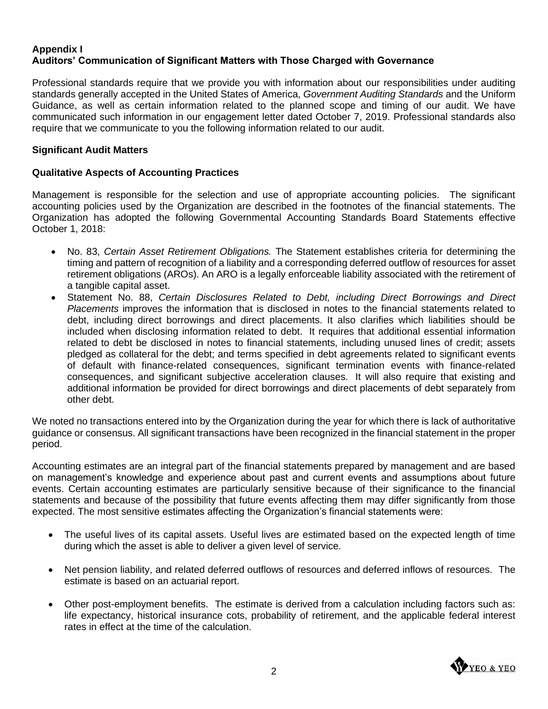## **Appendix I Auditors' Communication of Significant Matters with Those Charged with Governance**

Professional standards require that we provide you with information about our responsibilities under auditing standards generally accepted in the United States of America, *Government Auditing Standards* and the Uniform Guidance, as well as certain information related to the planned scope and timing of our audit. We have communicated such information in our engagement letter dated October 7, 2019. Professional standards also require that we communicate to you the following information related to our audit.

## **Significant Audit Matters**

# **Qualitative Aspects of Accounting Practices**

Management is responsible for the selection and use of appropriate accounting policies. The significant accounting policies used by the Organization are described in the footnotes of the financial statements. The Organization has adopted the following Governmental Accounting Standards Board Statements effective October 1, 2018:

- No. 83, *Certain Asset Retirement Obligations.* The Statement establishes criteria for determining the timing and pattern of recognition of a liability and a corresponding deferred outflow of resources for asset retirement obligations (AROs). An ARO is a legally enforceable liability associated with the retirement of a tangible capital asset.
- Statement No. 88, *Certain Disclosures Related to Debt, including Direct Borrowings and Direct Placements* improves the information that is disclosed in notes to the financial statements related to debt, including direct borrowings and direct placements. It also clarifies which liabilities should be included when disclosing information related to debt. It requires that additional essential information related to debt be disclosed in notes to financial statements, including unused lines of credit; assets pledged as collateral for the debt; and terms specified in debt agreements related to significant events of default with finance-related consequences, significant termination events with finance-related consequences, and significant subjective acceleration clauses. It will also require that existing and additional information be provided for direct borrowings and direct placements of debt separately from other debt.

We noted no transactions entered into by the Organization during the year for which there is lack of authoritative guidance or consensus. All significant transactions have been recognized in the financial statement in the proper period.

Accounting estimates are an integral part of the financial statements prepared by management and are based on management's knowledge and experience about past and current events and assumptions about future events. Certain accounting estimates are particularly sensitive because of their significance to the financial statements and because of the possibility that future events affecting them may differ significantly from those expected. The most sensitive estimates affecting the Organization's financial statements were:

- The useful lives of its capital assets. Useful lives are estimated based on the expected length of time during which the asset is able to deliver a given level of service.
- Net pension liability, and related deferred outflows of resources and deferred inflows of resources. The estimate is based on an actuarial report.
- Other post-employment benefits. The estimate is derived from a calculation including factors such as: life expectancy, historical insurance cots, probability of retirement, and the applicable federal interest rates in effect at the time of the calculation.

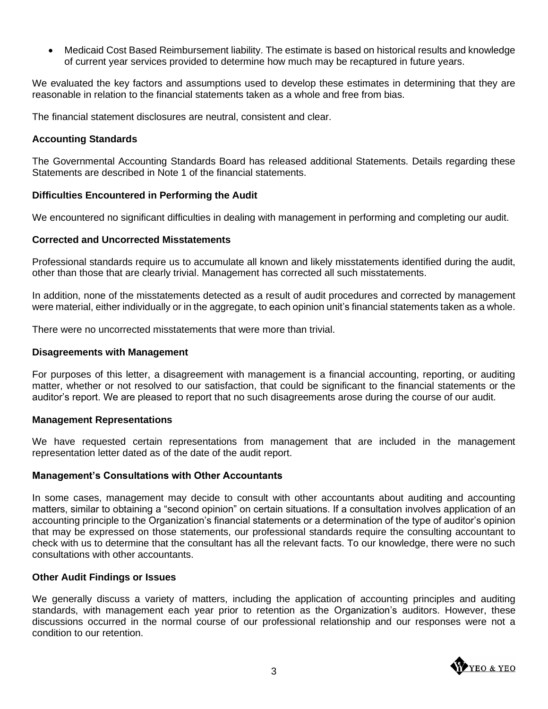• Medicaid Cost Based Reimbursement liability. The estimate is based on historical results and knowledge of current year services provided to determine how much may be recaptured in future years.

We evaluated the key factors and assumptions used to develop these estimates in determining that they are reasonable in relation to the financial statements taken as a whole and free from bias.

The financial statement disclosures are neutral, consistent and clear.

## **Accounting Standards**

The Governmental Accounting Standards Board has released additional Statements. Details regarding these Statements are described in Note 1 of the financial statements.

### **Difficulties Encountered in Performing the Audit**

We encountered no significant difficulties in dealing with management in performing and completing our audit.

### **Corrected and Uncorrected Misstatements**

Professional standards require us to accumulate all known and likely misstatements identified during the audit, other than those that are clearly trivial. Management has corrected all such misstatements.

In addition, none of the misstatements detected as a result of audit procedures and corrected by management were material, either individually or in the aggregate, to each opinion unit's financial statements taken as a whole.

There were no uncorrected misstatements that were more than trivial.

#### **Disagreements with Management**

For purposes of this letter, a disagreement with management is a financial accounting, reporting, or auditing matter, whether or not resolved to our satisfaction, that could be significant to the financial statements or the auditor's report. We are pleased to report that no such disagreements arose during the course of our audit.

#### **Management Representations**

We have requested certain representations from management that are included in the management representation letter dated as of the date of the audit report.

#### **Management's Consultations with Other Accountants**

In some cases, management may decide to consult with other accountants about auditing and accounting matters, similar to obtaining a "second opinion" on certain situations. If a consultation involves application of an accounting principle to the Organization's financial statements or a determination of the type of auditor's opinion that may be expressed on those statements, our professional standards require the consulting accountant to check with us to determine that the consultant has all the relevant facts. To our knowledge, there were no such consultations with other accountants.

#### **Other Audit Findings or Issues**

We generally discuss a variety of matters, including the application of accounting principles and auditing standards, with management each year prior to retention as the Organization's auditors. However, these discussions occurred in the normal course of our professional relationship and our responses were not a condition to our retention.

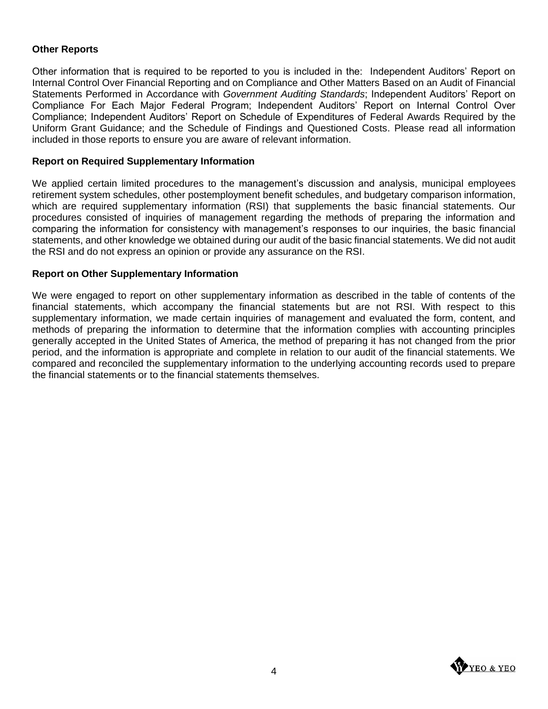## **Other Reports**

Other information that is required to be reported to you is included in the: Independent Auditors' Report on Internal Control Over Financial Reporting and on Compliance and Other Matters Based on an Audit of Financial Statements Performed in Accordance with *Government Auditing Standards*; Independent Auditors' Report on Compliance For Each Major Federal Program; Independent Auditors' Report on Internal Control Over Compliance; Independent Auditors' Report on Schedule of Expenditures of Federal Awards Required by the Uniform Grant Guidance; and the Schedule of Findings and Questioned Costs. Please read all information included in those reports to ensure you are aware of relevant information.

#### **Report on Required Supplementary Information**

We applied certain limited procedures to the management's discussion and analysis, municipal employees retirement system schedules, other postemployment benefit schedules, and budgetary comparison information, which are required supplementary information (RSI) that supplements the basic financial statements. Our procedures consisted of inquiries of management regarding the methods of preparing the information and comparing the information for consistency with management's responses to our inquiries, the basic financial statements, and other knowledge we obtained during our audit of the basic financial statements. We did not audit the RSI and do not express an opinion or provide any assurance on the RSI.

#### **Report on Other Supplementary Information**

We were engaged to report on other supplementary information as described in the table of contents of the financial statements, which accompany the financial statements but are not RSI. With respect to this supplementary information, we made certain inquiries of management and evaluated the form, content, and methods of preparing the information to determine that the information complies with accounting principles generally accepted in the United States of America, the method of preparing it has not changed from the prior period, and the information is appropriate and complete in relation to our audit of the financial statements. We compared and reconciled the supplementary information to the underlying accounting records used to prepare the financial statements or to the financial statements themselves.